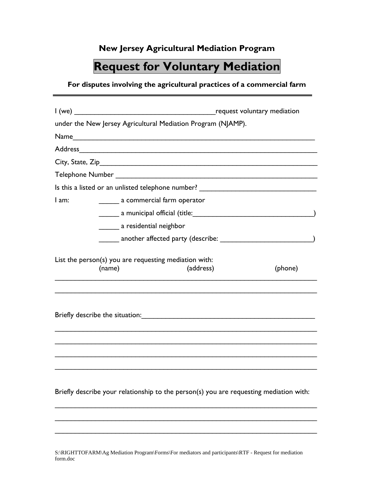## **New Jersey Agricultural Mediation Program**

## **Request for Voluntary Mediation**

## **For disputes involving the agricultural practices of a commercial farm**

|                                                                              |                                                                                                                                                                                                                                | request voluntary mediation                                                                                                                                                                                                    |  |
|------------------------------------------------------------------------------|--------------------------------------------------------------------------------------------------------------------------------------------------------------------------------------------------------------------------------|--------------------------------------------------------------------------------------------------------------------------------------------------------------------------------------------------------------------------------|--|
|                                                                              | under the New Jersey Agricultural Mediation Program (NJAMP).                                                                                                                                                                   |                                                                                                                                                                                                                                |  |
|                                                                              |                                                                                                                                                                                                                                |                                                                                                                                                                                                                                |  |
|                                                                              |                                                                                                                                                                                                                                | Address and the contract of the contract of the contract of the contract of the contract of the contract of the contract of the contract of the contract of the contract of the contract of the contract of the contract of th |  |
|                                                                              |                                                                                                                                                                                                                                |                                                                                                                                                                                                                                |  |
|                                                                              |                                                                                                                                                                                                                                |                                                                                                                                                                                                                                |  |
|                                                                              |                                                                                                                                                                                                                                | Is this a listed or an unlisted telephone number? ______________________________                                                                                                                                               |  |
| I am:                                                                        | a commercial farm operator                                                                                                                                                                                                     |                                                                                                                                                                                                                                |  |
|                                                                              |                                                                                                                                                                                                                                | a municipal official (title: )                                                                                                                                                                                                 |  |
|                                                                              | a residential neighbor                                                                                                                                                                                                         |                                                                                                                                                                                                                                |  |
|                                                                              |                                                                                                                                                                                                                                |                                                                                                                                                                                                                                |  |
| List the person(s) you are requesting mediation with:<br>(name)<br>(address) |                                                                                                                                                                                                                                | (phone)                                                                                                                                                                                                                        |  |
|                                                                              | Briefly describe the situation: The state of the state of the state of the state of the state of the state of the state of the state of the state of the state of the state of the state of the state of the state of the stat |                                                                                                                                                                                                                                |  |
|                                                                              |                                                                                                                                                                                                                                |                                                                                                                                                                                                                                |  |
|                                                                              |                                                                                                                                                                                                                                | Briefly describe your relationship to the person(s) you are requesting mediation with:                                                                                                                                         |  |

\_\_\_\_\_\_\_\_\_\_\_\_\_\_\_\_\_\_\_\_\_\_\_\_\_\_\_\_\_\_\_\_\_\_\_\_\_\_\_\_\_\_\_\_\_\_\_\_\_\_\_\_\_\_\_\_\_\_\_\_\_\_\_\_\_

\_\_\_\_\_\_\_\_\_\_\_\_\_\_\_\_\_\_\_\_\_\_\_\_\_\_\_\_\_\_\_\_\_\_\_\_\_\_\_\_\_\_\_\_\_\_\_\_\_\_\_\_\_\_\_\_\_\_\_\_\_\_\_\_\_